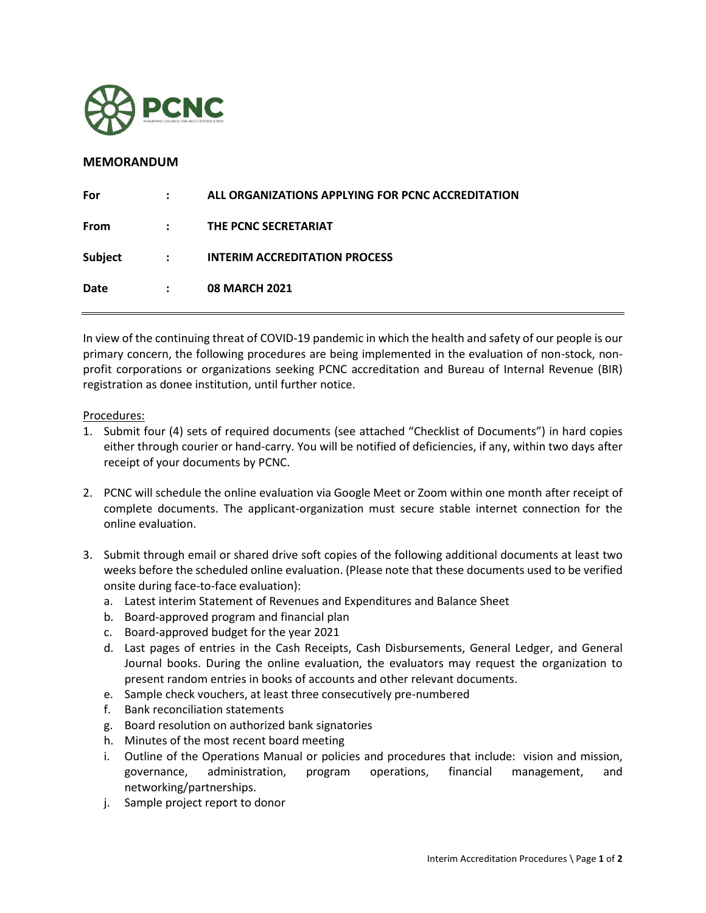

## **MEMORANDUM**

In view of the continuing threat of COVID-19 pandemic in which the health and safety of our people is our primary concern, the following procedures are being implemented in the evaluation of non-stock, nonprofit corporations or organizations seeking PCNC accreditation and Bureau of Internal Revenue (BIR) registration as donee institution, until further notice.

Procedures:

- 1. Submit four (4) sets of required documents (see attached "Checklist of Documents") in hard copies either through courier or hand-carry. You will be notified of deficiencies, if any, within two days after receipt of your documents by PCNC.
- 2. PCNC will schedule the online evaluation via Google Meet or Zoom within one month after receipt of complete documents. The applicant-organization must secure stable internet connection for the online evaluation.
- 3. Submit through email or shared drive soft copies of the following additional documents at least two weeks before the scheduled online evaluation. (Please note that these documents used to be verified onsite during face-to-face evaluation):
	- a. Latest interim Statement of Revenues and Expenditures and Balance Sheet
	- b. Board-approved program and financial plan
	- c. Board-approved budget for the year 2021
	- d. Last pages of entries in the Cash Receipts, Cash Disbursements, General Ledger, and General Journal books. During the online evaluation, the evaluators may request the organization to present random entries in books of accounts and other relevant documents.
	- e. Sample check vouchers, at least three consecutively pre-numbered
	- f. Bank reconciliation statements
	- g. Board resolution on authorized bank signatories
	- h. Minutes of the most recent board meeting
	- i. Outline of the Operations Manual or policies and procedures that include: vision and mission, governance, administration, program operations, financial management, and networking/partnerships.
	- j. Sample project report to donor